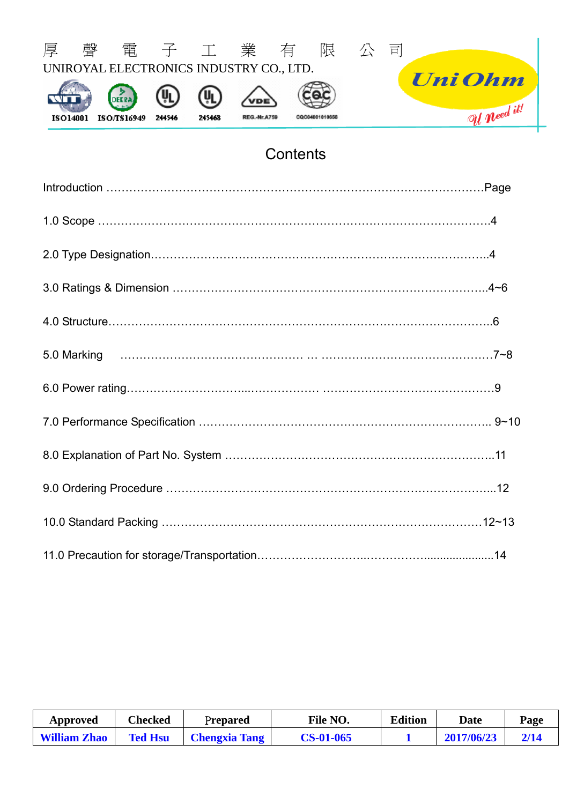

# **Contents**

| Approved            | Checked        | Prepared             | File NO.         | <b>Edition</b> | Date       | Page |
|---------------------|----------------|----------------------|------------------|----------------|------------|------|
| <b>William Zhao</b> | <b>Ted Hsu</b> | <b>Chengxia Tang</b> | <b>CS-01-065</b> |                | 2017/06/23 | 2/14 |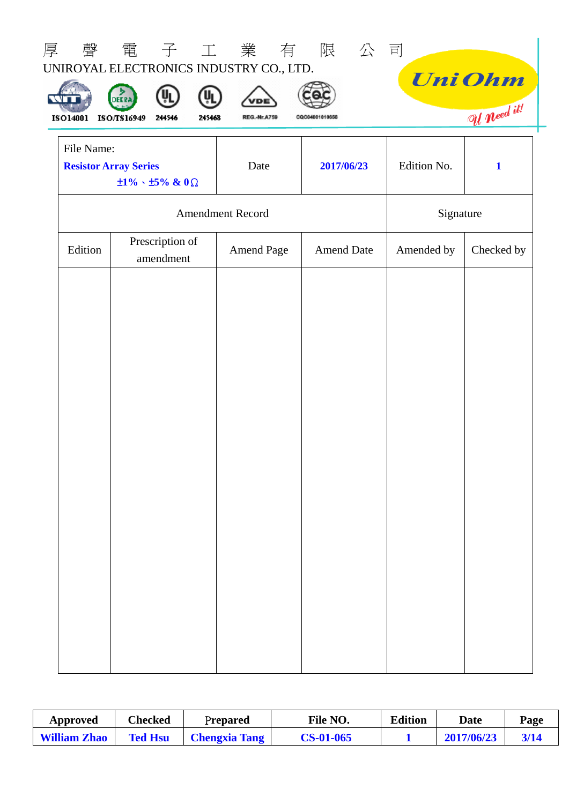| 厚<br>UNIROYAL ELECTRONICS INDUSTRY CO., LTD.<br>DEERA<br>ISO/TS16949<br>ISO14001 | ŲL<br>244546<br>245468             | VDE<br><b>REG.-Nr.A759</b> | 聲 電 子 工 業 有 限 公 司<br>CQC04001010656 |             | <b>UniOhm</b><br>Uneed it! |
|----------------------------------------------------------------------------------|------------------------------------|----------------------------|-------------------------------------|-------------|----------------------------|
| File Name:<br><b>Resistor Array Series</b>                                       | $\pm 1\% \cdot \pm 5\% \& 0\Omega$ | Date                       | 2017/06/23                          | Edition No. | $\mathbf{1}$               |
|                                                                                  |                                    | Amendment Record           |                                     | Signature   |                            |
| Edition                                                                          | Prescription of<br>amendment       | Amend Page                 | <b>Amend Date</b>                   | Amended by  | Checked by                 |
|                                                                                  |                                    |                            |                                     |             |                            |

| Approved            | Checked        | Prepared             | File NO.         | <b>Edition</b> | Date       | Page |
|---------------------|----------------|----------------------|------------------|----------------|------------|------|
| <b>William Zhao</b> | <b>Ted Hsu</b> | <b>Chengxia Tang</b> | <b>CS-01-065</b> |                | 2017/06/23 | 3/14 |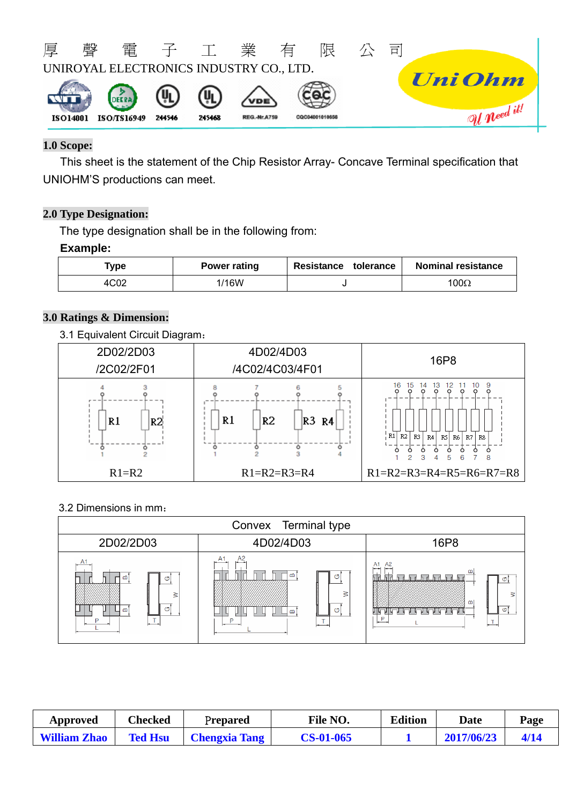

### **1.0 Scope:**

This sheet is the statement of the Chip Resistor Array- Concave Terminal specification that UNIOHM'S productions can meet.

## **2.0 Type Designation:**

The type designation shall be in the following from:

#### **Example:**

| Type | <b>Power rating</b> | Resistance tolerance | <b>Nominal resistance</b> |
|------|---------------------|----------------------|---------------------------|
| 4C02 | /16W                |                      | $100\Omega$               |

#### **3.0 Ratings & Dimension:**

3.1 Equivalent Circuit Diagram:



#### 3.2 Dimensions in mm:

| Convex Terminal type                    |                                                            |                                                                                            |  |  |  |  |  |  |  |  |
|-----------------------------------------|------------------------------------------------------------|--------------------------------------------------------------------------------------------|--|--|--|--|--|--|--|--|
| 2D02/2D03                               | 4D02/4D03                                                  | 16P8                                                                                       |  |  |  |  |  |  |  |  |
| A1<br>Б<br>c<br>2<br>G<br>$\omega$<br>D | A <sub>2</sub><br>≃<br>O<br>$\sigma$<br>$\infty$<br>$\sim$ | A <sub>2</sub><br>A <sub>1</sub><br><b>House</b><br>سد<br>∞<br>hr h<br>5 F.<br>3<br>œ<br>m |  |  |  |  |  |  |  |  |

| Approved            | Checked        | <b>Prepared</b>      | File NO.         | <b>Edition</b> | Date       | Page |
|---------------------|----------------|----------------------|------------------|----------------|------------|------|
| <b>William Zhao</b> | <b>Ted Hsu</b> | <b>Chengxia Tang</b> | <b>CS-01-065</b> |                | 2017/06/23 | 4/14 |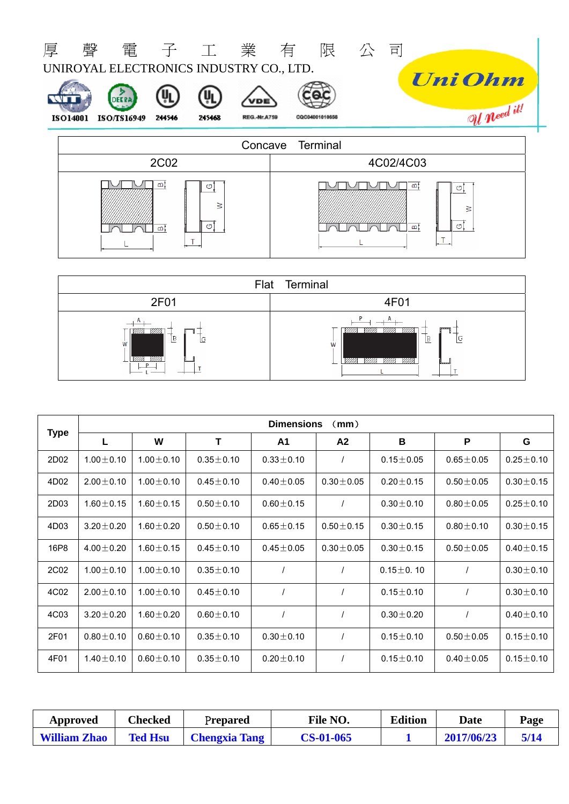



|                                                                                   | Flat Terminal                                                                                                             |
|-----------------------------------------------------------------------------------|---------------------------------------------------------------------------------------------------------------------------|
| 2F01                                                                              | 4F01                                                                                                                      |
| VIII». VIIII<br>12000000<br>ΙB<br>١G<br>W<br>VIII)<br>VIII)<br><b>Report</b><br>_ | P<br>$\mathbf{r}$<br><b>DESCRIPTION</b><br>VIII<br>VIIIA VIIIA<br>VIIII<br> G<br>lв<br>W<br>VIIIs<br>VIII)<br>VIII)<br>MM |

|      |                 |                 |                 | <b>Dimensions</b> | (mm)            |                 |                 |                 |
|------|-----------------|-----------------|-----------------|-------------------|-----------------|-----------------|-----------------|-----------------|
| Type | L               | W               | T               | A <sub>1</sub>    | A2              | B               | P               | G               |
| 2D02 | $1.00 \pm 0.10$ | $1.00 \pm 0.10$ | $0.35 \pm 0.10$ | $0.33 \pm 0.10$   | $\prime$        | $0.15 \pm 0.05$ | $0.65 \pm 0.05$ | $0.25 \pm 0.10$ |
| 4D02 | $2.00 \pm 0.10$ | $1.00 \pm 0.10$ | $0.45 \pm 0.10$ | $0.40 \pm 0.05$   | $0.30 \pm 0.05$ | $0.20 \pm 0.15$ | $0.50 \pm 0.05$ | $0.30 \pm 0.15$ |
| 2D03 | $1.60 \pm 0.15$ | $1.60 \pm 0.15$ | $0.50 \pm 0.10$ | $0.60 \pm 0.15$   | $\prime$        | $0.30 \pm 0.10$ | $0.80 \pm 0.05$ | $0.25 \pm 0.10$ |
| 4D03 | $3.20 \pm 0.20$ | $1.60 \pm 0.20$ | $0.50 \pm 0.10$ | $0.65 \pm 0.15$   | $0.50 \pm 0.15$ | $0.30 \pm 0.15$ | $0.80 \pm 0.10$ | $0.30 \pm 0.15$ |
| 16P8 | $4.00 \pm 0.20$ | $1.60 \pm 0.15$ | $0.45 \pm 0.10$ | $0.45 \pm 0.05$   | $0.30 \pm 0.05$ | $0.30 \pm 0.15$ | $0.50 \pm 0.05$ | $0.40 \pm 0.15$ |
| 2C02 | $1.00 \pm 0.10$ | $1.00 \pm 0.10$ | $0.35 \pm 0.10$ |                   | $\prime$        | $0.15 \pm 0.10$ |                 | $0.30 \pm 0.10$ |
| 4C02 | $2.00 \pm 0.10$ | $1.00 \pm 0.10$ | $0.45 \pm 0.10$ |                   | $\prime$        | $0.15 \pm 0.10$ | $\prime$        | $0.30 \pm 0.10$ |
| 4C03 | $3.20 \pm 0.20$ | $1.60 \pm 0.20$ | $0.60 \pm 0.10$ |                   |                 | $0.30 \pm 0.20$ |                 | $0.40 \pm 0.10$ |
| 2F01 | $0.80 \pm 0.10$ | $0.60 \pm 0.10$ | $0.35 \pm 0.10$ | $0.30 \pm 0.10$   | $\prime$        | $0.15 \pm 0.10$ | $0.50 \pm 0.05$ | $0.15 \pm 0.10$ |
| 4F01 | $1.40 \pm 0.10$ | $0.60 \pm 0.10$ | $0.35 \pm 0.10$ | $0.20 \pm 0.10$   |                 | $0.15 \pm 0.10$ | $0.40 \pm 0.05$ | $0.15 \pm 0.10$ |

| Approved            | Checked        | <b>Prepared</b>      | <b>File NO.</b>  | <b>Edition</b> | <b>Date</b> | Page |
|---------------------|----------------|----------------------|------------------|----------------|-------------|------|
| <b>William Zhao</b> | <b>Ted Hsu</b> | <b>Chengxia Tang</b> | <b>CS-01-065</b> |                | 2017/06/23  | 5/14 |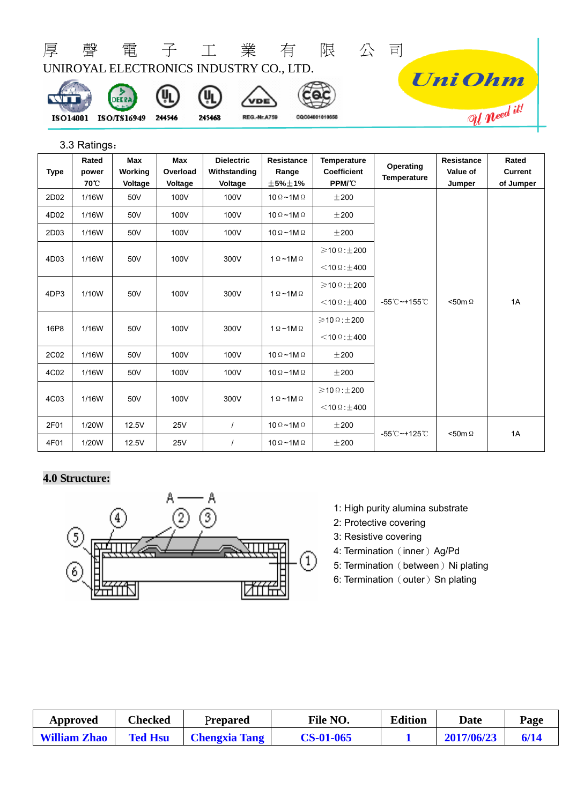

#### 3.3 Ratings:

| <b>Type</b> | Rated<br>power<br>70℃ | Max<br>Working<br>Voltage | <b>Max</b><br>Overload<br>Voltage | <b>Dielectric</b><br>Withstanding<br>Voltage | <b>Resistance</b><br>Range<br>士5%士1%       | <b>Temperature</b><br><b>Coefficient</b><br>PPM/°C | Operating<br><b>Temperature</b> | <b>Resistance</b><br>Value of<br>Jumper | Rated<br>Current<br>of Jumper |            |                  |
|-------------|-----------------------|---------------------------|-----------------------------------|----------------------------------------------|--------------------------------------------|----------------------------------------------------|---------------------------------|-----------------------------------------|-------------------------------|------------|------------------|
| 2D02        | 1/16W                 | 50V                       | 100V                              | 100V                                         | 10 $\Omega$ ~1M $\Omega$                   | ±200                                               |                                 |                                         |                               |            |                  |
| 4D02        | 1/16W                 | 50V                       | 100V                              | 100V                                         | 10 $\Omega$ ~1M $\Omega$                   | ±200                                               |                                 |                                         |                               |            |                  |
| 2D03        | 1/16W                 | 50V                       | 100V                              | 100V                                         | 10 $\Omega$ ~1M $\Omega$                   | ±200                                               |                                 |                                         |                               |            |                  |
| 4D03        | 1/16W                 | 50V                       | 100V                              |                                              | $1 \Omega \sim 1 M \Omega$                 | $\geqslant$ 10 $\Omega$ : $\pm$ 200                |                                 |                                         |                               |            |                  |
|             |                       |                           |                                   |                                              | 300V<br>$1 \Omega \sim 1 M \Omega$<br>300V | $<$ 10 Ω : $\pm$ 400                               |                                 |                                         |                               |            |                  |
| 4DP3        | 1/10W                 | 50V                       | 100V                              |                                              |                                            | $\geqslant$ 10 $\Omega$ : $\pm$ 200                |                                 |                                         |                               |            |                  |
|             |                       |                           |                                   |                                              |                                            |                                                    |                                 |                                         | $<$ 10 $\Omega$ : $\pm$ 400   | -55℃~+155℃ | $<$ 50m $\Omega$ |
| 16P8        | 1/16W                 | 50V                       | 100V                              | 300V                                         |                                            |                                                    | $1 \Omega \sim 1 M \Omega$      | $\geqslant$ 10 $\Omega$ : $\pm$ 200     |                               |            |                  |
|             |                       |                           |                                   |                                              |                                            | $<$ 10 Ω : $\pm$ 400                               |                                 |                                         |                               |            |                  |
| 2C02        | 1/16W                 | 50V                       | 100V                              | 100V                                         | 10 $\Omega$ ~1M $\Omega$                   | ±200                                               |                                 |                                         |                               |            |                  |
| 4C02        | 1/16W                 | 50V                       | 100V                              | 100V                                         | 10 $\Omega$ ~1M $\Omega$                   | ±200                                               |                                 |                                         |                               |            |                  |
| 4C03        | 1/16W                 | 50V                       | 100V                              | 300V                                         | $1 \Omega - 1 M \Omega$                    | $\geqslant$ 10 $\Omega$ : $\pm$ 200                |                                 |                                         |                               |            |                  |
|             |                       |                           |                                   |                                              |                                            | $<$ 10 $\Omega$ : $\pm$ 400                        |                                 |                                         |                               |            |                  |
| 2F01        | 1/20W                 | 12.5V                     | <b>25V</b>                        | $\prime$                                     | 10 $\Omega$ ~1M $\Omega$                   | $\pm 200$                                          | -55℃~+125℃                      | $<$ 50m $\Omega$                        | 1A                            |            |                  |
| 4F01        | 1/20W                 | 12.5V                     | <b>25V</b>                        |                                              | 10 $\Omega$ ~1M $\Omega$                   | ±200                                               |                                 |                                         |                               |            |                  |

# **4.0 Structure:**



- 1: High purity alumina substrate
- 2: Protective covering
- 3: Resistive covering
- 4: Termination (inner) Ag/Pd
- 5: Termination (between) Ni plating
- 6: Termination (outer) Sn plating

| Approved            | Checked        | Prepared             | File NO.         | <b>Edition</b> | Date       | Page |
|---------------------|----------------|----------------------|------------------|----------------|------------|------|
| <b>William Zhao</b> | <b>Ted Hsu</b> | <b>Chengxia Tang</b> | <b>CS-01-065</b> |                | 2017/06/23 | 6/14 |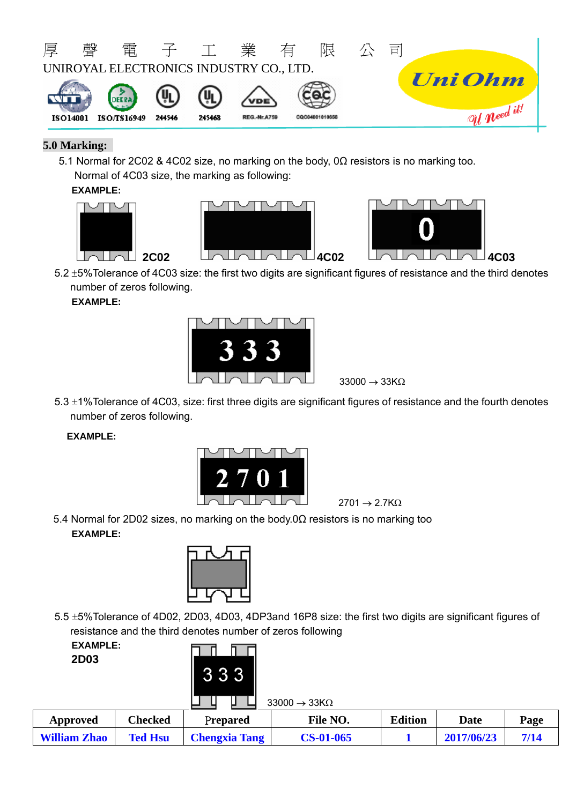

### **5.0 Marking:**

5.1 Normal for 2C02 & 4C02 size, no marking on the body, 0Ω resistors is no marking too. Normal of 4C03 size, the marking as following:

### **EXAMPLE:**







5.2 ±5% Tolerance of 4C03 size: the first two digits are significant figures of resistance and the third denotes number of zeros following.

**EXAMPLE:** 



 $33000 \rightarrow 33K\Omega$ 

 $5.3 \pm 1\%$  Tolerance of 4C03, size: first three digits are significant figures of resistance and the fourth denotes number of zeros following.

#### **EXAMPLE:**



 $2701 \rightarrow 2.7K\Omega$ 

5.4 Normal for 2D02 sizes, no marking on the body.0Ω resistors is no marking too  **EXAMPLE:** 



5.5 5%Tolerance of 4D02, 2D03, 4D03, 4DP3and 16P8 size: the first two digits are significant figures of resistance and the third denotes number of zeros following

| <b>EXAMPLE:</b><br><b>2D03</b> |         | 333             |                               |                |  |
|--------------------------------|---------|-----------------|-------------------------------|----------------|--|
|                                |         |                 | $33000 \rightarrow 33K\Omega$ |                |  |
| Annroved                       | Checked | <b>Prenared</b> | File NO.                      | <b>Edition</b> |  |

| Approved            | Checked        | Prepared             | File NO.         | <b>Edition</b> | Date       | Page |
|---------------------|----------------|----------------------|------------------|----------------|------------|------|
| <b>William Zhao</b> | <b>Ted Hsu</b> | <b>Chengxia Tang</b> | <b>CS-01-065</b> |                | 2017/06/23 | 7/14 |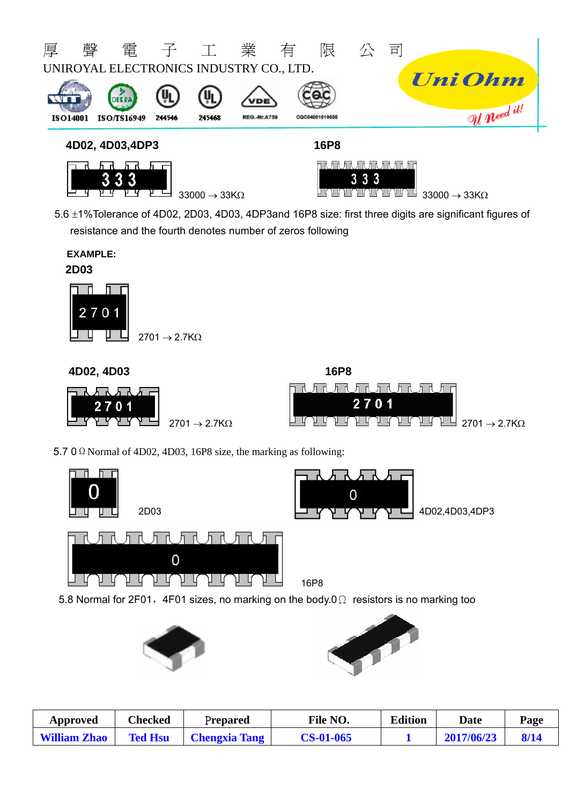

5.6 1%Tolerance of 4D02, 2D03, 4D03, 4DP3and 16P8 size: first three digits are significant figures of resistance and the fourth denotes number of zeros following

| <b>EXAMPLE:</b> |                               |
|-----------------|-------------------------------|
| <b>2D03</b>     |                               |
|                 |                               |
| 27<br>΄ Ο       |                               |
|                 | $2701 \rightarrow 2.7K\Omega$ |

**4D02, 4D03 16P8** 



5.7 0 Ω Normal of 4D02, 4D03, 16P8 size, the marking as following:



5.8 Normal for 2F01, 4F01 sizes, no marking on the body.0 $\Omega$  resistors is no marking too





| Approved            | Checked        | Prepared             | <b>File NO.</b>  | <b>Edition</b> | Date       | Page |
|---------------------|----------------|----------------------|------------------|----------------|------------|------|
| <b>William Zhao</b> | <b>Ted Hsu</b> | <b>Chengxia Tang</b> | <b>CS-01-065</b> |                | 2017/06/23 | 8/14 |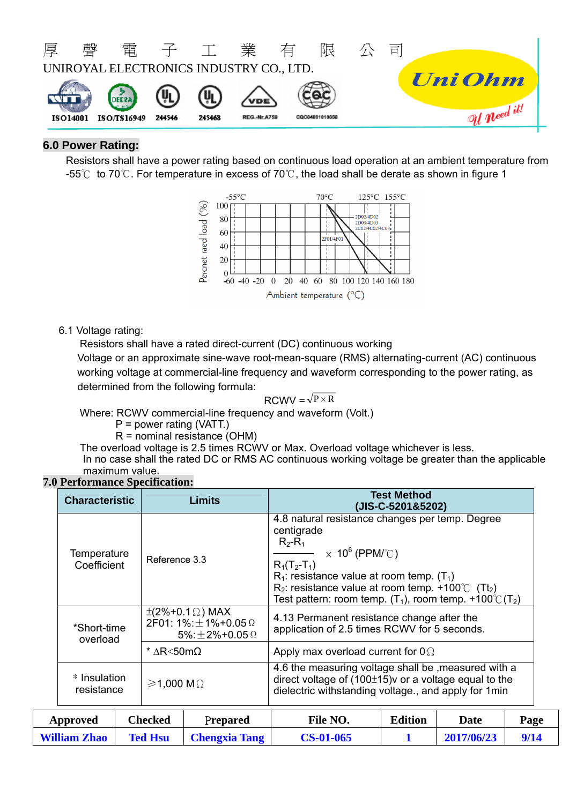

#### **6.0 Power Rating:**

Resistors shall have a power rating based on continuous load operation at an ambient temperature from -55℃ to 70℃. For temperature in excess of 70℃, the load shall be derate as shown in figure 1



#### 6.1 Voltage rating:

Resistors shall have a rated direct-current (DC) continuous working

Voltage or an approximate sine-wave root-mean-square (RMS) alternating-current (AC) continuous working voltage at commercial-line frequency and waveform corresponding to the power rating, as determined from the following formula:

$$
RCWV = \sqrt{P \times R}
$$

Where: RCWV commercial-line frequency and waveform (Volt.)

P = power rating (VATT.)

R = nominal resistance (OHM)

The overload voltage is 2.5 times RCWV or Max. Overload voltage whichever is less.

In no case shall the rated DC or RMS AC continuous working voltage be greater than the applicable maximum value.

#### **7.0 Performance Specification:**

| <b>Characteristic</b>      |                                                       | Limits |                            | <b>Test Method</b><br>(JIS-C-5201&5202)                                                                                                                                                                                                                                                                                           |     |  |  |  |  |
|----------------------------|-------------------------------------------------------|--------|----------------------------|-----------------------------------------------------------------------------------------------------------------------------------------------------------------------------------------------------------------------------------------------------------------------------------------------------------------------------------|-----|--|--|--|--|
| Temperature<br>Coefficient | Reference 3.3                                         |        |                            | 4.8 natural resistance changes per temp. Degree<br>centigrade<br>$R_2-R_1$<br>$\times$ 10 <sup>6</sup> (PPM/°C)<br>$R_1(T_2-T_1)$<br>$R_1$ : resistance value at room temp. (T <sub>1</sub> )<br>$R_2$ : resistance value at room temp. +100°C (Tt <sub>2</sub> )<br>Test pattern: room temp. $(T_1)$ , room temp. +100°C $(T_2)$ |     |  |  |  |  |
| *Short-time<br>overload    | $\pm$ (2%+0.1 $\Omega$ ) MAX<br>2F01: 1%: ± 1%+0.05 Ω |        | 5%: $\pm$ 2%+0.05 $\Omega$ | 4.13 Permanent resistance change after the<br>application of 2.5 times RCWV for 5 seconds.                                                                                                                                                                                                                                        |     |  |  |  |  |
|                            | $^*$ ΔR<50mΩ                                          |        |                            | Apply max overload current for $0\Omega$                                                                                                                                                                                                                                                                                          |     |  |  |  |  |
| * Insulation<br>resistance | $≥$ 1,000 M $\Omega$                                  |        |                            | 4.6 the measuring voltage shall be, measured with a<br>direct voltage of $(100\pm15)$ or a voltage equal to the<br>dielectric withstanding voltage., and apply for 1min                                                                                                                                                           |     |  |  |  |  |
| $\sim$                     |                                                       |        |                            |                                                                                                                                                                                                                                                                                                                                   | --- |  |  |  |  |

| Approved            | Checked        | Prepared             | File NO.         | <b>Edition</b> | Date       | Page |
|---------------------|----------------|----------------------|------------------|----------------|------------|------|
| <b>William Zhao</b> | <b>Ted Hsu</b> | <b>Chengxia Tang</b> | <b>CS-01-065</b> |                | 2017/06/23 | 9/14 |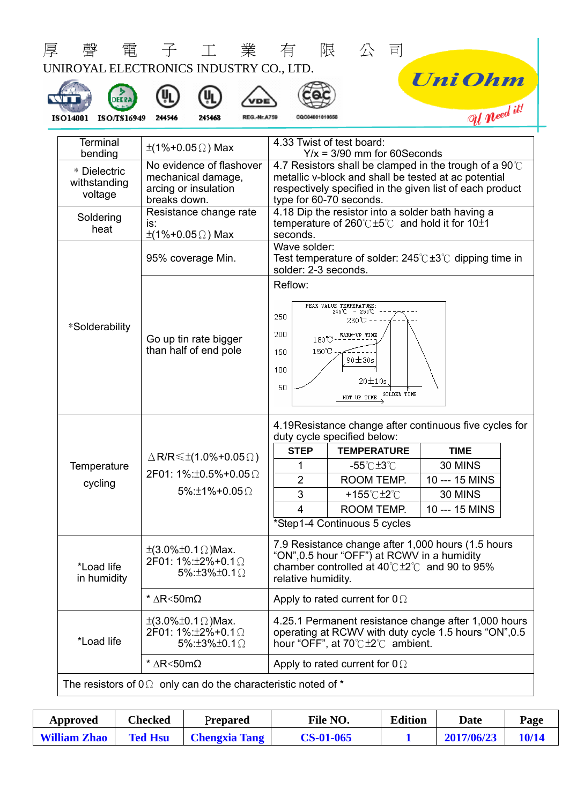| DEER.<br><b>ISO/TS16949</b><br>ISO14001            | UNIROYAL ELECTRONICS INDUSTRY CO., LTD.<br><b>REG.-Nr.A759</b><br>214546<br>215468                        | Uni Ohm<br>U need it!<br>CQC0400101065(                                                                                                                                                                                                          |
|----------------------------------------------------|-----------------------------------------------------------------------------------------------------------|--------------------------------------------------------------------------------------------------------------------------------------------------------------------------------------------------------------------------------------------------|
| <b>Terminal</b>                                    | $\pm$ (1%+0.05 $\Omega$ ) Max                                                                             | 4.33 Twist of test board:                                                                                                                                                                                                                        |
| bending<br>* Dielectric<br>withstanding<br>voltage | No evidence of flashover<br>mechanical damage,<br>arcing or insulation<br>breaks down.                    | $Y/x = 3/90$ mm for 60Seconds<br>4.7 Resistors shall be clamped in the trough of a $90^{\circ}$ C<br>metallic v-block and shall be tested at ac potential<br>respectively specified in the given list of each product<br>type for 60-70 seconds. |
| Soldering<br>heat                                  | Resistance change rate<br>is:<br>$\pm$ (1%+0.05 $\Omega$ ) Max                                            | 4.18 Dip the resistor into a solder bath having a<br>temperature of $260^{\circ}$ $\leq$ $5^{\circ}$ and hold it for 10 $\pm$ 1<br>seconds.                                                                                                      |
|                                                    | 95% coverage Min.                                                                                         | Wave solder:<br>Test temperature of solder: $245^{\circ}$ C + 3 <sup>o</sup> C dipping time in<br>solder: 2-3 seconds.                                                                                                                           |
| *Solderability                                     | Go up tin rate bigger<br>than half of end pole                                                            | PEAK VALUE TEMPERATURE:<br>245℃ - 250℃<br>250<br>230℃ - -<br>200<br>WARM-UP TIME<br>$180^\circ\text{C}$<br>$150^{\circ}\text{C}$ -<br>150<br>$90 \pm 30s$<br>100<br>$20 \pm 10s$<br>50<br>SOLDER TIME<br>HOT UP TIME                             |
|                                                    |                                                                                                           | 4.19Resistance change after continuous five cycles for<br>duty cycle specified below:                                                                                                                                                            |
|                                                    | $\triangle$ R/R $\leq \pm$ (1.0%+0.05 $\Omega$ )                                                          | <b>STEP</b><br><b>TEMPERATURE</b><br><b>TIME</b>                                                                                                                                                                                                 |
| Temperature                                        | 2F01: 1%: ±0.5% + 0.05 $\Omega$                                                                           | 1<br>$-55^{\circ}$ C $\pm 3^{\circ}$ C<br>30 MINS                                                                                                                                                                                                |
| cycling                                            | $5\%$ : $\pm$ 1%+0.05 $\Omega$                                                                            | $\overline{2}$<br>ROOM TEMP.<br>10 --- 15 MINS<br>3<br>30 MINS<br>+155℃±2℃                                                                                                                                                                       |
|                                                    |                                                                                                           | 4<br>ROOM TEMP.<br>10 --- 15 MINS                                                                                                                                                                                                                |
|                                                    |                                                                                                           | *Step1-4 Continuous 5 cycles                                                                                                                                                                                                                     |
| *Load life<br>in humidity                          | $\pm$ (3.0% $\pm$ 0.1 $\Omega$ )Max.<br>2F01: 1%: $\pm$ 2%+0.1 $\Omega$<br>5%: $\pm 3\% \pm 0.1$ $\Omega$ | 7.9 Resistance change after 1,000 hours (1.5 hours<br>"ON",0.5 hour "OFF") at RCWV in a humidity<br>chamber controlled at $40^{\circ}$ C $\pm 2^{\circ}$ C and 90 to 95%<br>relative humidity.                                                   |
|                                                    | * $\Delta R < 50$ m $\Omega$                                                                              | Apply to rated current for $0\Omega$                                                                                                                                                                                                             |
| *Load life                                         | $\pm (3.0\% \pm 0.1 \Omega)$ Max.<br>2F01: $1\%$ : ±2%+0.1 $\Omega$<br>5%: $\pm 3\% \pm 0.1$ $\Omega$     | 4.25.1 Permanent resistance change after 1,000 hours<br>operating at RCWV with duty cycle 1.5 hours "ON", 0.5<br>hour "OFF", at $70^{\circ}$ C $\pm 2^{\circ}$ C ambient.                                                                        |
|                                                    | * $\Delta R < 50$ m $\Omega$                                                                              | Apply to rated current for $0\Omega$                                                                                                                                                                                                             |

| Approved            | Checked        | Prepared             | <b>File NO.</b>  | <b>Edition</b> | Date       | Page  |
|---------------------|----------------|----------------------|------------------|----------------|------------|-------|
| <b>William Zhao</b> | <b>Ted Hsu</b> | <b>Chengxia Tang</b> | <b>CS-01-065</b> |                | 2017/06/23 | 10/14 |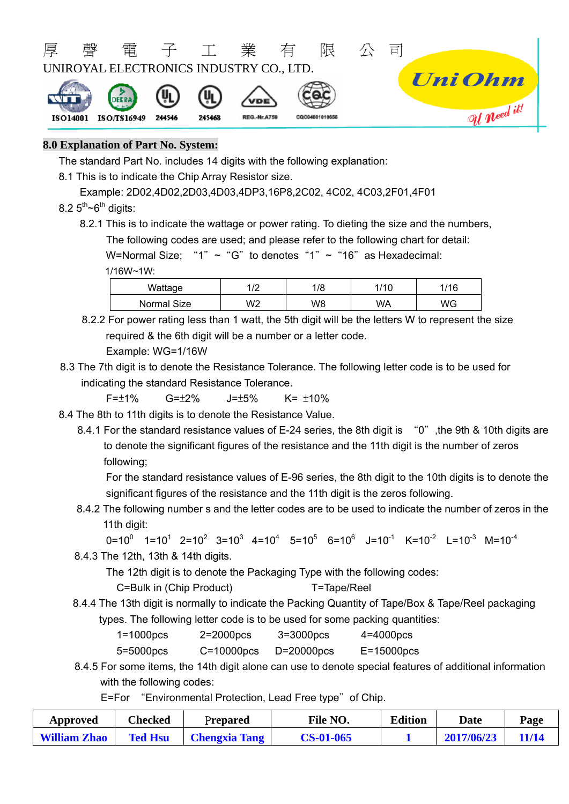

#### **8.0 Explanation of Part No. System:**

The standard Part No. includes 14 digits with the following explanation:

8.1 This is to indicate the Chip Array Resistor size.

Example: 2D02,4D02,2D03,4D03,4DP3,16P8,2C02, 4C02, 4C03,2F01,4F01

- $8.25<sup>th</sup>$ ~6<sup>th</sup> digits:
	- 8.2.1 This is to indicate the wattage or power rating. To dieting the size and the numbers, The following codes are used; and please refer to the following chart for detail:

W=Normal Size; "1"  $\sim$  "G" to denotes "1"  $\sim$  "16" as Hexadecimal:

1/16W~1W:

| Wattage     | $\sqrt{2}$ | /8 | 111 C | 1/16 |
|-------------|------------|----|-------|------|
| Normal Size | W2         | W8 | WA    | WG   |

 8.2.2 For power rating less than 1 watt, the 5th digit will be the letters W to represent the size required & the 6th digit will be a number or a letter code.

```
Example: WG=1/16W
```
8.3 The 7th digit is to denote the Resistance Tolerance. The following letter code is to be used for indicating the standard Resistance Tolerance.

F= $\pm$ 1% G= $\pm$ 2% J= $\pm$ 5% K= $\pm$ 10%

- 8.4 The 8th to 11th digits is to denote the Resistance Value.
	- 8.4.1 For the standard resistance values of E-24 series, the 8th digit is "0", the 9th & 10th digits are to denote the significant figures of the resistance and the 11th digit is the number of zeros following;

For the standard resistance values of E-96 series, the 8th digit to the 10th digits is to denote the significant figures of the resistance and the 11th digit is the zeros following.

8.4.2 The following number s and the letter codes are to be used to indicate the number of zeros in the 11th digit:

```
0=10^0 1=10^1 2=10^2 3=10^3 4=10^4 5=10^5 6=10^6 J=10^1 K=10^2 L=10^3 M=10^4
```
8.4.3 The 12th, 13th & 14th digits.

The 12th digit is to denote the Packaging Type with the following codes:

- C=Bulk in (Chip Product) T=Tape/Reel
- 8.4.4 The 13th digit is normally to indicate the Packing Quantity of Tape/Box & Tape/Reel packaging types. The following letter code is to be used for some packing quantities:
	- 1=1000pcs 2=2000pcs 3=3000pcs 4=4000pcs
	- 5=5000pcs C=10000pcs D=20000pcs E=15000pcs
- 8.4.5 For some items, the 14th digit alone can use to denote special features of additional information with the following codes:

E=For "Environmental Protection, Lead Free type" of Chip.

| Approved            | Checked        | Prepared             | File NO.         | <b>Edition</b> | Date       | Page  |
|---------------------|----------------|----------------------|------------------|----------------|------------|-------|
| <b>William Zhao</b> | <b>Ted Hsu</b> | <b>Chengxia Tang</b> | <b>CS-01-065</b> |                | 2017/06/23 | 11/14 |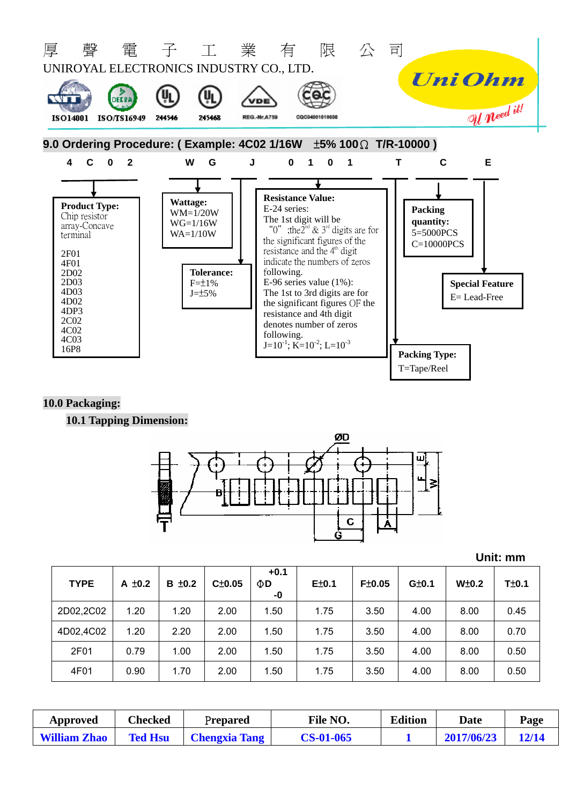

#### **10.0 Packaging:**

#### **10.1 Tapping Dimension:**



**Unit: mm**

| <b>TYPE</b> | $A \pm 0.2$ | B ±0.2 | C±0.05 | $+0.1$<br>ΦD<br>-0 | E±0.1 | F±0.05 | G±0.1 | W <sub>±</sub> 0.2 | T±0.1 |
|-------------|-------------|--------|--------|--------------------|-------|--------|-------|--------------------|-------|
| 2D02,2C02   | 1.20        | 1.20   | 2.00   | 1.50               | 1.75  | 3.50   | 4.00  | 8.00               | 0.45  |
| 4D02,4C02   | 1.20        | 2.20   | 2.00   | 1.50               | 1.75  | 3.50   | 4.00  | 8.00               | 0.70  |
| 2F01        | 0.79        | 1.00   | 2.00   | 1.50               | 1.75  | 3.50   | 4.00  | 8.00               | 0.50  |
| 4F01        | 0.90        | 1.70   | 2.00   | 1.50               | 1.75  | 3.50   | 4.00  | 8.00               | 0.50  |

| Approved            | Checked        | Prepared             | File NO.         | <b>Edition</b> | Date       | Page  |
|---------------------|----------------|----------------------|------------------|----------------|------------|-------|
| <b>William Zhao</b> | <b>Ted Hsu</b> | <b>Chengxia Tang</b> | <b>CS-01-065</b> |                | 2017/06/23 | 12/14 |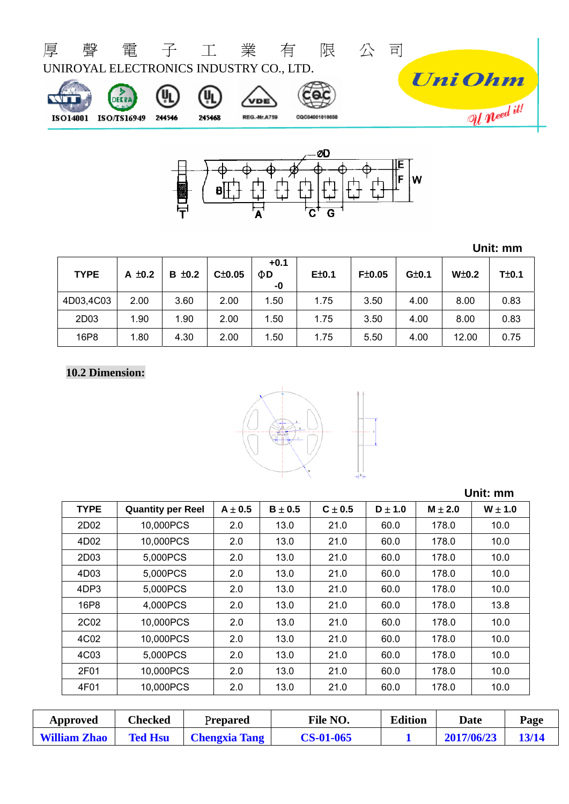



### **Unit: mm**

| <b>TYPE</b> | A $\pm$ 0.2 | $B \pm 0.2$ | C±0.05 | $+0.1$<br>ΦD<br>-0 | E±0.1 | F±0.05 | G±0.1 | W <sub>±</sub> 0.2 | T±0.1 |
|-------------|-------------|-------------|--------|--------------------|-------|--------|-------|--------------------|-------|
| 4D03,4C03   | 2.00        | 3.60        | 2.00   | 1.50               | 1.75  | 3.50   | 4.00  | 8.00               | 0.83  |
| 2D03        | 1.90        | 1.90        | 2.00   | 1.50               | 1.75  | 3.50   | 4.00  | 8.00               | 0.83  |
| 16P8        | 1.80        | 4.30        | 2.00   | 1.50               | 1.75  | 5.50   | 4.00  | 12.00              | 0.75  |

# **10.2 Dimension:**



**Unit: mm** 

| <b>TYPE</b> | <b>Quantity per Reel</b> | $A \pm 0.5$ | $B \pm 0.5$ | $C \pm 0.5$ | $D \pm 1.0$ | $M \pm 2.0$ | $W \pm 1.0$ |
|-------------|--------------------------|-------------|-------------|-------------|-------------|-------------|-------------|
| 2D02        | 10,000PCS                | 2.0         | 13.0        | 21.0        | 60.0        | 178.0       | 10.0        |
| 4D02        | 10,000PCS                | 2.0         | 13.0        | 21.0        | 60.0        | 178.0       | 10.0        |
| 2D03        | 5,000PCS                 | 2.0         | 13.0        | 21.0        | 60.0        | 178.0       | 10.0        |
| 4D03        | 5,000PCS                 | 2.0         | 13.0        | 21.0        | 60.0        | 178.0       | 10.0        |
| 4DP3        | 5,000PCS                 | 2.0         | 13.0        | 21.0        | 60.0        | 178.0       | 10.0        |
| 16P8        | 4,000PCS                 | 2.0         | 13.0        | 21.0        | 60.0        | 178.0       | 13.8        |
| 2C02        | 10,000PCS                | 2.0         | 13.0        | 21.0        | 60.0        | 178.0       | 10.0        |
| 4C02        | 10,000PCS                | 2.0         | 13.0        | 21.0        | 60.0        | 178.0       | 10.0        |
| 4C03        | 5,000PCS                 | 2.0         | 13.0        | 21.0        | 60.0        | 178.0       | 10.0        |
| 2F01        | 10,000PCS                | 2.0         | 13.0        | 21.0        | 60.0        | 178.0       | 10.0        |
| 4F01        | 10,000PCS                | 2.0         | 13.0        | 21.0        | 60.0        | 178.0       | 10.0        |

| Approved            | Checked        | Prepared             | File NO.         | <b>Edition</b> | Date       | Page  |
|---------------------|----------------|----------------------|------------------|----------------|------------|-------|
| <b>William Zhao</b> | <b>Ted Hsu</b> | <b>Chengxia Tang</b> | <b>CS-01-065</b> |                | 2017/06/23 | 13/14 |